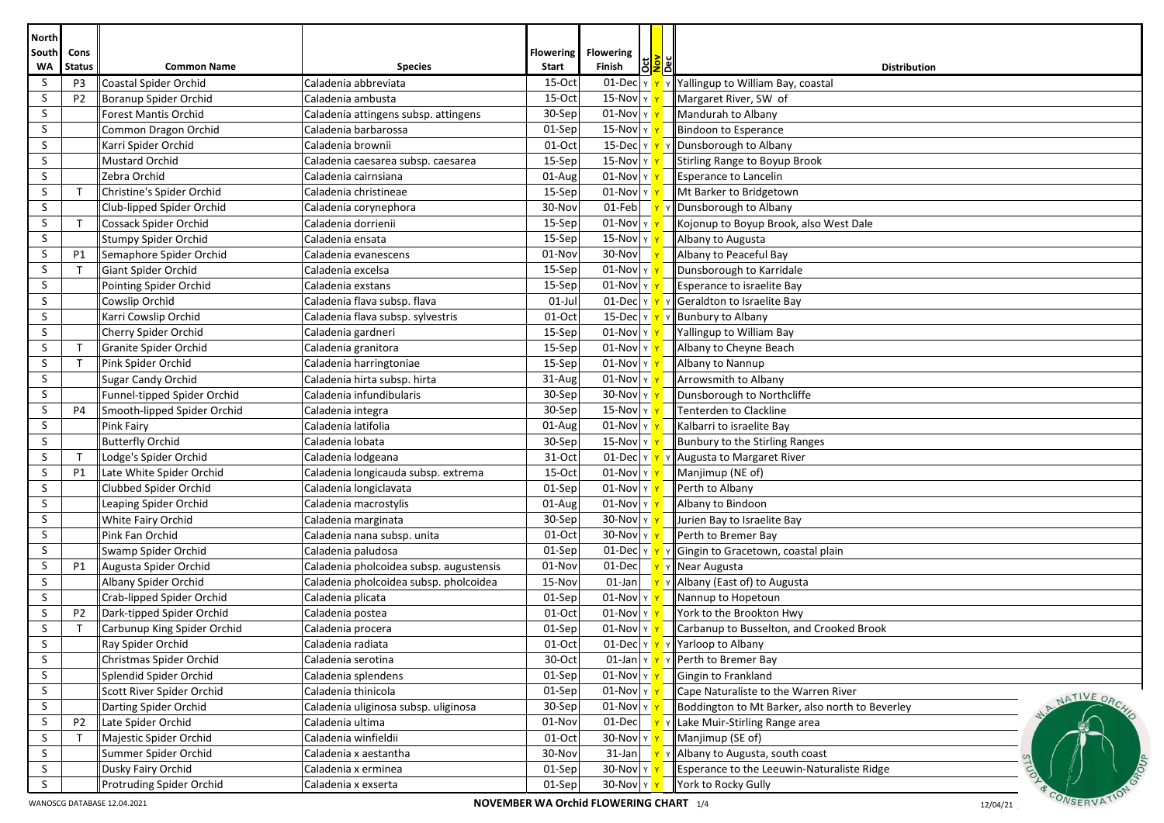| North          |                                                                                                                   |                                                    |                                         |                  |                                  |                   |                                                          |  |  |
|----------------|-------------------------------------------------------------------------------------------------------------------|----------------------------------------------------|-----------------------------------------|------------------|----------------------------------|-------------------|----------------------------------------------------------|--|--|
| South          | Cons                                                                                                              |                                                    |                                         | <b>Flowering</b> | <b>Flowering</b>                 |                   |                                                          |  |  |
| <b>WA</b><br>S | <b>Status</b><br>P <sub>3</sub>                                                                                   | <b>Common Name</b><br><b>Coastal Spider Orchid</b> | <b>Species</b><br>Caladenia abbreviata  | Start<br>15-Oct  | lël<br>Finish<br>$01$ -Dec $ y $ | <mark>ğ</mark> lĕ | <b>Distribution</b><br>Yallingup to William Bay, coastal |  |  |
| S              | P <sub>2</sub>                                                                                                    | Boranup Spider Orchid                              | Caladenia ambusta                       | 15-Oct           | 15-Nov $\vert$ Y                 |                   | Margaret River, SW of                                    |  |  |
| S              |                                                                                                                   | <b>Forest Mantis Orchid</b>                        | Caladenia attingens subsp. attingens    | 30-Sep           | $01$ -Nov $ y $                  |                   | Mandurah to Albany                                       |  |  |
| S              |                                                                                                                   | Common Dragon Orchid                               | Caladenia barbarossa                    | 01-Sep           | $15-Nov y $                      |                   | Bindoon to Esperance                                     |  |  |
| S              |                                                                                                                   | Karri Spider Orchid                                | Caladenia brownii                       | 01-Oct           | 15-Dec Y                         |                   | Dunsborough to Albany                                    |  |  |
| S.             |                                                                                                                   | Mustard Orchid                                     | Caladenia caesarea subsp. caesarea      | 15-Sep           | 15-Nov $\vert$ Y                 |                   | Stirling Range to Boyup Brook                            |  |  |
| S              |                                                                                                                   | Zebra Orchid                                       | Caladenia cairnsiana                    | 01-Aug           | $01$ -Nov $\vert$ Y              |                   | Esperance to Lancelin                                    |  |  |
| S              |                                                                                                                   | Christine's Spider Orchid                          | Caladenia christineae                   | 15-Sep           | $01$ -Nov $\gamma$               |                   | Mt Barker to Bridgetown                                  |  |  |
| S              |                                                                                                                   | Club-lipped Spider Orchid                          | Caladenia corynephora                   | 30-Nov           | 01-Feb                           |                   | Dunsborough to Albany                                    |  |  |
| S              | $\mathsf{T}$                                                                                                      | Cossack Spider Orchid                              | Caladenia dorrienii                     | 15-Sep           | $01$ -Nov $\vert$ Y              |                   | Kojonup to Boyup Brook, also West Dale                   |  |  |
| S              |                                                                                                                   | Stumpy Spider Orchid                               | Caladenia ensata                        | 15-Sep           | 15-Nov $\vert$ Y                 |                   | Albany to Augusta                                        |  |  |
| S              | P1                                                                                                                | Semaphore Spider Orchid                            | Caladenia evanescens                    | 01-Nov           | 30-Nov                           |                   | Albany to Peaceful Bay                                   |  |  |
| S              |                                                                                                                   | Giant Spider Orchid                                | Caladenia excelsa                       | 15-Sep           | $01$ -Nov $\vert$ Y              |                   | Dunsborough to Karridale                                 |  |  |
| S              |                                                                                                                   | Pointing Spider Orchid                             | Caladenia exstans                       | 15-Sep           | $01$ -Nov Y                      |                   | Esperance to israelite Bay                               |  |  |
| S              |                                                                                                                   | Cowslip Orchid                                     | Caladenia flava subsp. flava            | $01$ -Jul        | $01$ -Dec $ y $                  |                   | Geraldton to Israelite Bay                               |  |  |
| S              |                                                                                                                   | Karri Cowslip Orchid                               | Caladenia flava subsp. sylvestris       | 01-Oct           | 15-Dec $ v $                     |                   | <b>Bunbury to Albany</b>                                 |  |  |
| S              |                                                                                                                   | Cherry Spider Orchid                               | Caladenia gardneri                      | 15-Sep           | $01$ -Nov $\vert$ Y              |                   | Yallingup to William Bay                                 |  |  |
| S              |                                                                                                                   | Granite Spider Orchid                              | Caladenia granitora                     | 15-Sep           | $01$ -Nov $\vert \gamma \vert$   |                   | Albany to Cheyne Beach                                   |  |  |
| S              |                                                                                                                   | Pink Spider Orchid                                 | Caladenia harringtoniae                 | 15-Sep           | $01$ -Nov $\vert$ Y              |                   | Albany to Nannup                                         |  |  |
| S              |                                                                                                                   | Sugar Candy Orchid                                 | Caladenia hirta subsp. hirta            | 31-Aug           | $01$ -Nov $ y $                  |                   | Arrowsmith to Albany                                     |  |  |
| S              |                                                                                                                   | Funnel-tipped Spider Orchid                        | Caladenia infundibularis                | 30-Sep           | $30$ -Nov $\vert$ Y              |                   | Dunsborough to Northcliffe                               |  |  |
| S              | P <sub>4</sub>                                                                                                    | Smooth-lipped Spider Orchid                        | Caladenia integra                       | 30-Sep           | $15-Nov y $                      |                   | Tenterden to Clackline                                   |  |  |
| S              |                                                                                                                   | Pink Fairy                                         | Caladenia latifolia                     | 01-Aug           | $01$ -Nov $\vert$ Y              |                   | Kalbarri to israelite Bay                                |  |  |
| S              |                                                                                                                   | <b>Butterfly Orchid</b>                            | Caladenia lobata                        | 30-Sep           | $15-Nov$ $\vert$ Y               |                   | Bunbury to the Stirling Ranges                           |  |  |
| S              |                                                                                                                   | Lodge's Spider Orchid                              | Caladenia lodgeana                      | 31-Oct           | $01$ -Dec $ y $                  |                   | Augusta to Margaret River                                |  |  |
| S              | P1                                                                                                                | Late White Spider Orchid                           | Caladenia longicauda subsp. extrema     | 15-Oct           | $01$ -Nov $ y $                  |                   | Manjimup (NE of)                                         |  |  |
| S              |                                                                                                                   | Clubbed Spider Orchid                              | Caladenia longiclavata                  | 01-Sep           | $01$ -Nov $\vert$ Y              |                   | Perth to Albany                                          |  |  |
| S              |                                                                                                                   | Leaping Spider Orchid                              | Caladenia macrostylis                   | 01-Aug           | $01$ -Nov $\vert$ Y              |                   | Albany to Bindoon                                        |  |  |
| S              |                                                                                                                   | White Fairy Orchid                                 | Caladenia marginata                     | 30-Sep           | $30$ -Nov $\vert$ Y              |                   | Jurien Bay to Israelite Bay                              |  |  |
| S              |                                                                                                                   | Pink Fan Orchid                                    | Caladenia nana subsp. unita             | $01-Oct$         | $30$ -Nov $\vert$ Y              |                   | Perth to Bremer Bay                                      |  |  |
| S              |                                                                                                                   | Swamp Spider Orchid                                | Caladenia paludosa                      | 01-Sep           | 01-Dec $\frac{1}{2}$             |                   | Gingin to Gracetown, coastal plain                       |  |  |
| S              | P1                                                                                                                | Augusta Spider Orchid                              | Caladenia pholcoidea subsp. augustensis | 01-Nov           | 01-Dec                           |                   | Near Augusta                                             |  |  |
| S              |                                                                                                                   | Albany Spider Orchid                               | Caladenia pholcoidea subsp. pholcoidea  | 15-Nov           | $01$ -Jan                        |                   | Albany (East of) to Augusta                              |  |  |
| S              |                                                                                                                   | Crab-lipped Spider Orchid                          | Caladenia plicata                       | 01-Sep           | $01$ -Nov $ y $                  |                   | Nannup to Hopetoun                                       |  |  |
| S              | P <sub>2</sub>                                                                                                    | Dark-tipped Spider Orchid                          | Caladenia postea                        | 01-Oct           | $01$ -Nov $\vert$ Y              |                   | York to the Brookton Hwy                                 |  |  |
| S              | $\mathsf{T}$                                                                                                      | Carbunup King Spider Orchid                        | Caladenia procera                       | 01-Sep           | $01$ -Nov $\vert$ Y $\vert$      |                   | Carbanup to Busselton, and Crooked Brook                 |  |  |
| S              |                                                                                                                   | Ray Spider Orchid                                  | Caladenia radiata                       | $01-Oct$         | $01$ -Dec $ \gamma $             |                   | Yarloop to Albany                                        |  |  |
| S              |                                                                                                                   | Christmas Spider Orchid                            | Caladenia serotina                      | 30-Oct           | $01$ -Jan $\sqrt{2}$             |                   | Perth to Bremer Bay                                      |  |  |
| S              |                                                                                                                   | Splendid Spider Orchid                             | Caladenia splendens                     | 01-Sep           | $01$ -Nov $\vert$ Y $\vert$      |                   | Gingin to Frankland                                      |  |  |
| S              |                                                                                                                   | Scott River Spider Orchid                          | Caladenia thinicola                     | $01-Sep$         | $01$ -Nov $\vert$ Y $\vert$      |                   | Cape Naturaliste to the Warren River<br>NATIVE ORC       |  |  |
| S              |                                                                                                                   | Darting Spider Orchid                              | Caladenia uliginosa subsp. uliginosa    | 30-Sep           | $01$ -Nov $\vert$ Y              |                   | Boddington to Mt Barker, also north to Beverley          |  |  |
| S              | P2                                                                                                                | Late Spider Orchid                                 | Caladenia ultima                        | 01-Nov           | $01$ -Dec                        |                   | Lake Muir-Stirling Range area                            |  |  |
| S              |                                                                                                                   | Majestic Spider Orchid                             | Caladenia winfieldii                    | 01-Oct           | $30$ -Nov $\vert$ Y              |                   | Manjimup (SE of)                                         |  |  |
| S              |                                                                                                                   | Summer Spider Orchid                               | Caladenia x aestantha                   | 30-Nov           | $31$ -Jan                        |                   | Albany to Augusta, south coast                           |  |  |
| S              |                                                                                                                   | Dusky Fairy Orchid                                 | Caladenia x erminea                     | $01-Sep$         | $30$ -Nov $\vert$ Y              |                   | Esperance to the Leeuwin-Naturaliste Ridge               |  |  |
| S              |                                                                                                                   | <b>Protruding Spider Orchid</b>                    | Caladenia x exserta                     | 01-Sep           | $30$ -Nov $\vert$ Y              |                   | York to Rocky Gully                                      |  |  |
|                | CONSERVA <sup>1</sup><br>WANOSCG DATABASE 12.04.2021<br><b>NOVEMBER WA Orchid FLOWERING CHART</b> 1/4<br>12/04/21 |                                                    |                                         |                  |                                  |                   |                                                          |  |  |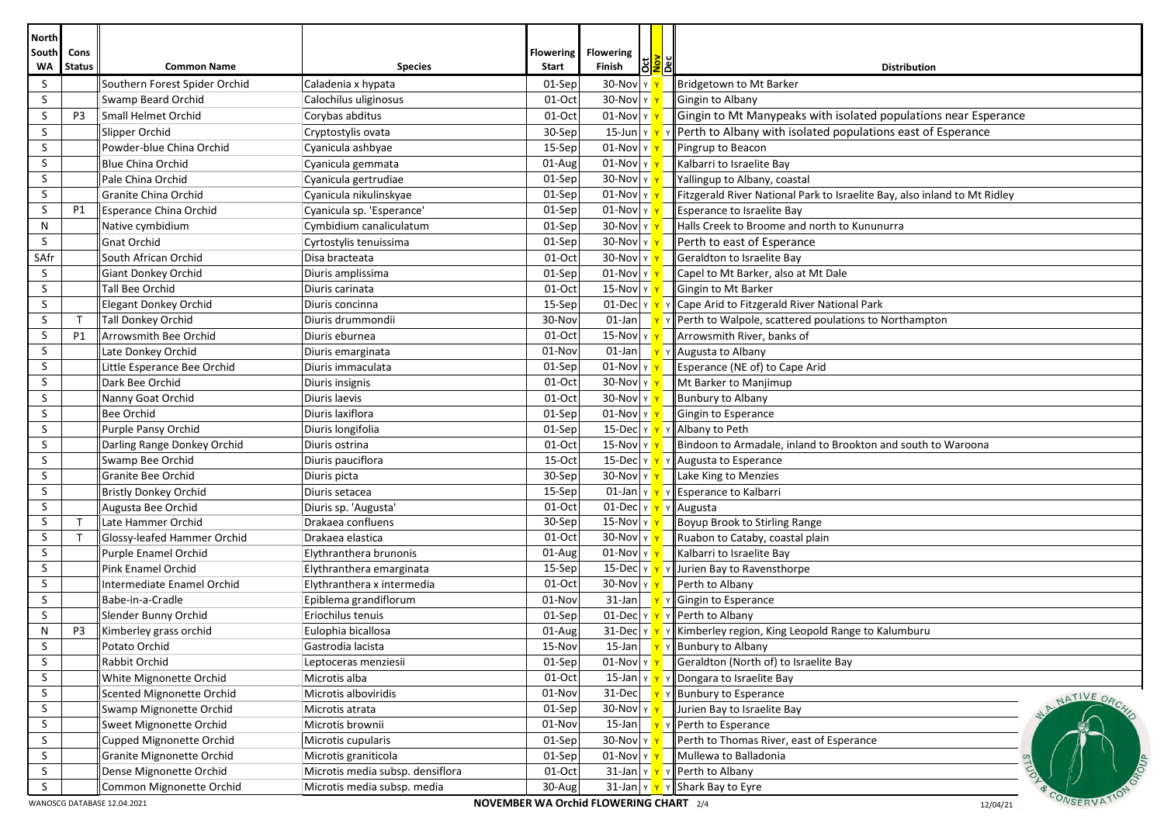| <b>North</b>              |                                                                                   |                                                     |                                  |                           |                                  |              |                                                                           |  |
|---------------------------|-----------------------------------------------------------------------------------|-----------------------------------------------------|----------------------------------|---------------------------|----------------------------------|--------------|---------------------------------------------------------------------------|--|
| <b>South</b><br><b>WA</b> | Cons<br><b>Status</b>                                                             | <b>Common Name</b>                                  | <b>Species</b>                   | <b>Flowering</b><br>Start | <b>Flowering</b><br>δā<br>Finish | <u>ទី</u> ខ័ | <b>Distribution</b>                                                       |  |
| S                         |                                                                                   | Southern Forest Spider Orchid                       | Caladenia x hypata               | 01-Sep                    | 30-Nov Y                         |              | Bridgetown to Mt Barker                                                   |  |
| S                         |                                                                                   | Swamp Beard Orchid                                  | Calochilus uliginosus            | 01-Oct                    | $30$ -Nov $\vert$ Y              |              | Gingin to Albany                                                          |  |
| S                         | P3                                                                                | Small Helmet Orchid                                 | Corybas abditus                  | 01-Oct                    | $01$ -Nov $\vert$ Y              |              | Gingin to Mt Manypeaks with isolated populations near Esperance           |  |
| S                         |                                                                                   | Slipper Orchid                                      | Cryptostylis ovata               | 30-Sep                    | $15$ -Jun $\vert$ Y              |              | Perth to Albany with isolated populations east of Esperance               |  |
| S                         |                                                                                   | Powder-blue China Orchid                            | Cyanicula ashbyae                | 15-Sep                    | $01$ -Nov $\vert$ Y $\vert$      |              | Pingrup to Beacon                                                         |  |
| S                         |                                                                                   | <b>Blue China Orchid</b>                            | Cyanicula gemmata                | $01-Aug$                  | $01$ -Nov $\vert$ Y              |              | Kalbarri to Israelite Bay                                                 |  |
| S                         |                                                                                   | Pale China Orchid                                   | Cyanicula gertrudiae             | 01-Sep                    | 30-Nov $\vert$ Y                 |              | Yallingup to Albany, coastal                                              |  |
| S                         |                                                                                   | Granite China Orchid                                | Cyanicula nikulinskyae           | 01-Sep                    | $01$ -Nov $\vert \text{Y} \vert$ |              | Fitzgerald River National Park to Israelite Bay, also inland to Mt Ridley |  |
| S                         | P1                                                                                | Esperance China Orchid                              | Cyanicula sp. 'Esperance'        | 01-Sep                    | $01$ -Nov $\vert$ Y              |              | Esperance to Israelite Bay                                                |  |
| N                         |                                                                                   | Native cymbidium                                    | Cymbidium canaliculatum          | 01-Sep                    | $30$ -Nov $\vert \gamma \vert$   |              | Halls Creek to Broome and north to Kununurra                              |  |
| S                         |                                                                                   | Gnat Orchid                                         | Cyrtostylis tenuissima           | 01-Sep                    | $30$ -Nov $\vert$ Y              |              | Perth to east of Esperance                                                |  |
| SAfr                      |                                                                                   | South African Orchid                                | Disa bracteata                   | 01-Oct                    | $30$ -Nov Y                      |              | Geraldton to Israelite Bay                                                |  |
| S                         |                                                                                   | Giant Donkey Orchid                                 | Diuris amplissima                | 01-Sep                    | $01$ -Nov $\vert$ Y              |              | Capel to Mt Barker, also at Mt Dale                                       |  |
| S                         |                                                                                   | Tall Bee Orchid                                     | Diuris carinata                  | 01-Oct                    | 15-Nov Y                         |              | Gingin to Mt Barker                                                       |  |
| S                         |                                                                                   | <b>Elegant Donkey Orchid</b>                        | Diuris concinna                  | 15-Sep                    | $01$ -Dec $ y $                  |              | Cape Arid to Fitzgerald River National Park                               |  |
| S                         | $\mathsf{T}$                                                                      | Tall Donkey Orchid                                  | Diuris drummondii                | 30-Nov                    | 01-Jan                           |              | Perth to Walpole, scattered poulations to Northampton                     |  |
| S                         | <b>P1</b>                                                                         | Arrowsmith Bee Orchid                               | Diuris eburnea                   | 01-Oct                    | $15-NovY$                        |              | Arrowsmith River, banks of                                                |  |
| S                         |                                                                                   | Late Donkey Orchid                                  | Diuris emarginata                | 01-Nov                    | 01-Jan                           |              | Augusta to Albany                                                         |  |
| S                         |                                                                                   | Little Esperance Bee Orchid                         | Diuris immaculata                | 01-Sep                    | $01$ -Nov $\vert$ Y $\vert$      |              | Esperance (NE of) to Cape Arid                                            |  |
| S                         |                                                                                   | Dark Bee Orchid                                     | Diuris insignis                  | 01-Oct                    | $30$ -Nov $\vert$ Y              |              | Mt Barker to Manjimup                                                     |  |
| S                         |                                                                                   | Nanny Goat Orchid                                   | Diuris laevis                    | 01-Oct                    | $30$ -Nov Y                      |              | <b>Bunbury to Albany</b>                                                  |  |
| S                         |                                                                                   | <b>Bee Orchid</b>                                   | Diuris laxiflora                 | 01-Sep                    | $01$ -Nov $\vert$ Y              |              | Gingin to Esperance                                                       |  |
| S                         |                                                                                   | Purple Pansy Orchid                                 | Diuris longifolia                | 01-Sep                    | 15-Dec $\vert$ Y $\vert$         |              | Albany to Peth                                                            |  |
| S                         |                                                                                   | Darling Range Donkey Orchid                         | Diuris ostrina                   | 01-Oct                    | $15$ -Nov $\vert \text{y} \vert$ |              | Bindoon to Armadale, inland to Brookton and south to Waroona              |  |
| S                         |                                                                                   | Swamp Bee Orchid                                    | Diuris pauciflora                | 15-Oct                    | 15-Dec $\vert$ Y $\vert$         |              | Augusta to Esperance                                                      |  |
| S                         |                                                                                   | Granite Bee Orchid                                  | Diuris picta                     | 30-Sep                    | $30$ -Nov $\vert \text{y} \vert$ |              | Lake King to Menzies                                                      |  |
| S                         |                                                                                   | <b>Bristly Donkey Orchid</b>                        | Diuris setacea                   | 15-Sep                    | $01$ -Jan $\vert$ Y $\vert$      |              | Esperance to Kalbarri                                                     |  |
| S                         |                                                                                   | Augusta Bee Orchid                                  | Diuris sp. 'Augusta'             | 01-Oct                    | $01$ -Dec $ y $                  |              | Augusta                                                                   |  |
| S                         | $\mathsf{T}$                                                                      | Late Hammer Orchid                                  | Drakaea confluens                | 30-Sep                    | $15-Nov$ $\vert$ Y               |              | Boyup Brook to Stirling Range                                             |  |
| S                         | $\mathsf{T}$                                                                      | Glossy-leafed Hammer Orchid                         | Drakaea elastica                 | 01-Oct                    | 30-Nov Y                         |              | Ruabon to Cataby, coastal plain                                           |  |
| S                         |                                                                                   | Purple Enamel Orchid                                | Elythranthera brunonis           | 01-Aug                    | $01$ -Nov $\vert \text{y} \vert$ |              | Kalbarri to Israelite Bay                                                 |  |
| S                         |                                                                                   | Pink Enamel Orchid                                  | Elythranthera emarginata         | 15-Sep                    | 15-Dec $\vert$ Y $\vert$         |              | Jurien Bay to Ravensthorpe                                                |  |
| S                         |                                                                                   | Intermediate Enamel Orchid                          | Elythranthera x intermedia       | 01-Oct                    | $30$ -Nov $\vert \gamma \vert$   |              | Perth to Albany                                                           |  |
| S                         |                                                                                   | Babe-in-a-Cradle                                    | Epiblema grandiflorum            | 01-Nov                    | $31$ -Jan                        |              | Gingin to Esperance                                                       |  |
| S                         |                                                                                   | Slender Bunny Orchid                                | Eriochilus tenuis                | 01-Sep                    | $01$ -Dec $ y $                  |              | Perth to Albany                                                           |  |
| N                         | P3                                                                                | Kimberley grass orchid                              | Eulophia bicallosa               | 01-Aug                    | $31$ -Dec $ y $                  |              | Kimberley region, King Leopold Range to Kalumburu                         |  |
| S                         |                                                                                   | Potato Orchid                                       | Gastrodia lacista                | 15-Nov                    | 15-Jan                           |              | Bunbury to Albany                                                         |  |
| S                         |                                                                                   | Rabbit Orchid                                       | Leptoceras menziesii             | 01-Sep                    | $01$ -Nov Y                      |              | Geraldton (North of) to Israelite Bay                                     |  |
| S.                        |                                                                                   | White Mignonette Orchid                             | Microtis alba                    | 01-Oct                    | $15$ -Jan $\vert$ Y              |              | Dongara to Israelite Bay                                                  |  |
| S                         |                                                                                   | Scented Mignonette Orchid                           | Microtis alboviridis             | 01-Nov                    | 31-Dec                           |              | <b>Bunbury to Esperance</b><br>NATIVE ORC                                 |  |
| S                         |                                                                                   | Swamp Mignonette Orchid                             | Microtis atrata                  | 01-Sep                    | $30$ -Nov $\vert$ Y              |              | Jurien Bay to Israelite Bay                                               |  |
| S                         |                                                                                   | Sweet Mignonette Orchid                             | Microtis brownii                 | 01-Nov                    | $15$ -Jan                        |              | Perth to Esperance                                                        |  |
| S                         |                                                                                   | Cupped Mignonette Orchid                            | Microtis cupularis               | 01-Sep                    | $30$ -Nov $\vert$ Y              |              | Perth to Thomas River, east of Esperance                                  |  |
| S                         |                                                                                   | Granite Mignonette Orchid                           | Microtis graniticola             | 01-Sep                    | $01$ -Nov $\vert$ Y              |              | Mullewa to Balladonia                                                     |  |
| S<br>$\sf S$              |                                                                                   | Dense Mignonette Orchid<br>Common Mignonette Orchid | Microtis media subsp. densiflora | $01-Oct$                  | 31-Jan   γ <mark>  ۱</mark>      |              | Perth to Albany<br>Y                                                      |  |
|                           |                                                                                   |                                                     | Microtis media subsp. media      | 30-Aug                    | $31$ -Jan $\vert$ Y              |              | Shark Bay to Eyre<br>CONSERVA                                             |  |
|                           | NOVEMBER WA Orchid FLOWERING CHART 2/4<br>WANOSCG DATABASE 12.04.2021<br>12/04/21 |                                                     |                                  |                           |                                  |              |                                                                           |  |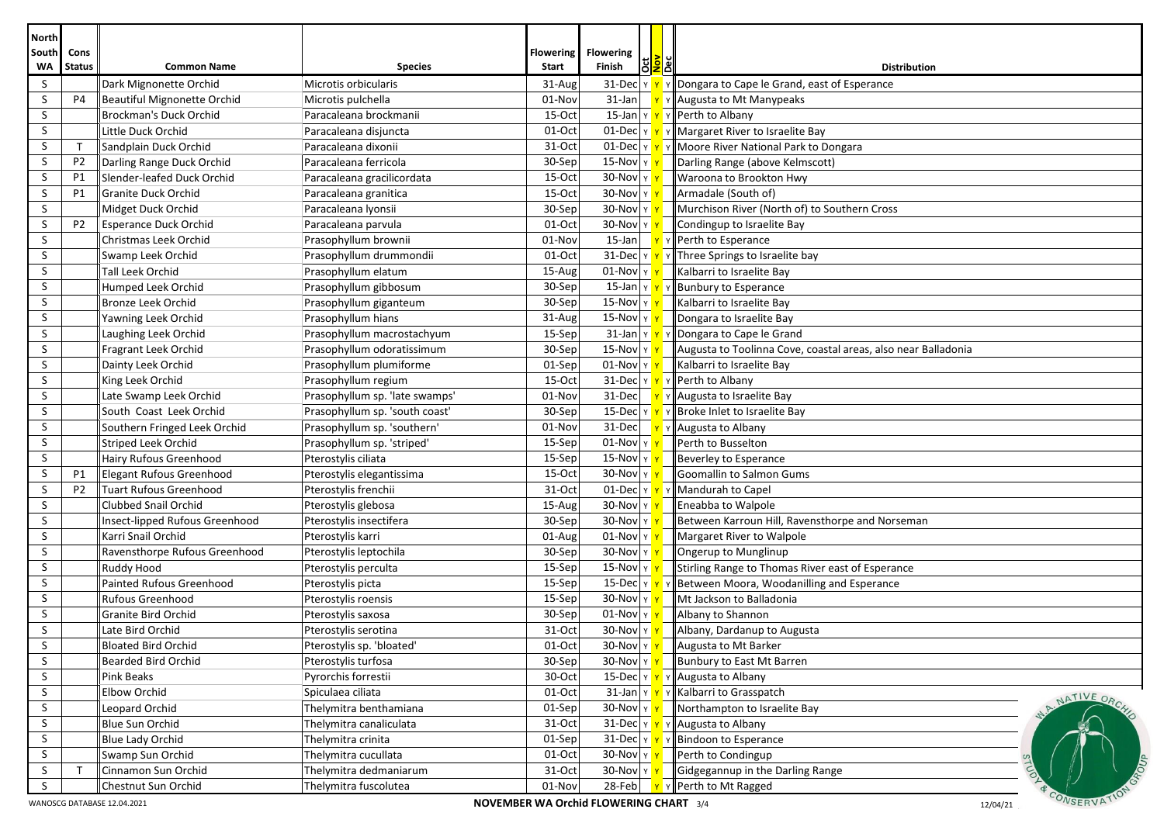| <b>North</b> |                                                                                                       |                                    |                                |                           |                                                   |  |                                                               |  |  |
|--------------|-------------------------------------------------------------------------------------------------------|------------------------------------|--------------------------------|---------------------------|---------------------------------------------------|--|---------------------------------------------------------------|--|--|
| South<br>WA  | Cons<br><b>Status</b>                                                                                 | <b>Common Name</b>                 | <b>Species</b>                 | <b>Flowering</b><br>Start | <b>Flowering</b><br><b><u>SP</u></b><br>Finish    |  | <b>Distribution</b>                                           |  |  |
| S            |                                                                                                       | Dark Mignonette Orchid             | Microtis orbicularis           | 31-Aug                    | 31-Dec Y Y                                        |  | Dongara to Cape le Grand, east of Esperance                   |  |  |
| S            | P4                                                                                                    | <b>Beautiful Mignonette Orchid</b> | Microtis pulchella             | 01-Nov                    | $31$ -Jan                                         |  | Y Augusta to Mt Manypeaks                                     |  |  |
| S            |                                                                                                       | Brockman's Duck Orchid             | Paracaleana brockmanii         | 15-Oct                    | $15$ -Jan $\vert$ $\vert$ $\vert$ $\vert$ $\vert$ |  | Y Perth to Albany                                             |  |  |
| S            |                                                                                                       | Little Duck Orchid                 | Paracaleana disjuncta          | 01-Oct                    | $01$ -Dec $\gamma$                                |  | Y Margaret River to Israelite Bay                             |  |  |
| S            | $\mathsf{T}$                                                                                          | Sandplain Duck Orchid              | Paracaleana dixonii            | 31-Oct                    | $01$ -Dec $\vert$ Y $\vert$ Y                     |  | Y Moore River National Park to Dongara                        |  |  |
| S            | P <sub>2</sub>                                                                                        | Darling Range Duck Orchid          | Paracaleana ferricola          | 30-Sep                    | $15$ -Nov $\sqrt{y}$                              |  | Darling Range (above Kelmscott)                               |  |  |
| S            | P1                                                                                                    | Slender-leafed Duck Orchid         | Paracaleana gracilicordata     | 15-Oct                    | 30-Nov $\frac{1}{11}$                             |  | Waroona to Brookton Hwy                                       |  |  |
| S            | P1                                                                                                    | Granite Duck Orchid                | Paracaleana granitica          | 15-Oct                    | 30-Nov y                                          |  | Armadale (South of)                                           |  |  |
| S            |                                                                                                       | Midget Duck Orchid                 | Paracaleana Iyonsii            | 30-Sep                    | ו 30-Nov                                          |  | Murchison River (North of) to Southern Cross                  |  |  |
| S            | P <sub>2</sub>                                                                                        | Esperance Duck Orchid              | Paracaleana parvula            | 01-Oct                    | 30-Nov Y Y                                        |  | Condingup to Israelite Bay                                    |  |  |
| <sub>S</sub> |                                                                                                       | Christmas Leek Orchid              | Prasophyllum brownii           | 01-Nov                    | $15$ -Jan                                         |  | Y Perth to Esperance                                          |  |  |
| S            |                                                                                                       | Swamp Leek Orchid                  | Prasophyllum drummondii        | 01-Oct                    | 31-Dec Y Y                                        |  | Y Three Springs to Israelite bay                              |  |  |
| S            |                                                                                                       | <b>Tall Leek Orchid</b>            | Prasophyllum elatum            | 15-Aug                    | $01$ -Nov $\vert$ Y                               |  | Kalbarri to Israelite Bay                                     |  |  |
| S            |                                                                                                       | Humped Leek Orchid                 | Prasophyllum gibbosum          | 30-Sep                    | 15-Jan Y Y                                        |  | Y Bunbury to Esperance                                        |  |  |
| S            |                                                                                                       | Bronze Leek Orchid                 | Prasophyllum giganteum         | 30-Sep                    | 15-Nov   γ <mark>  γ</mark>                       |  | Kalbarri to Israelite Bay                                     |  |  |
| S            |                                                                                                       | Yawning Leek Orchid                | Prasophyllum hians             | 31-Aug                    | 15-Nov γ <mark>γ</mark>                           |  | Dongara to Israelite Bay                                      |  |  |
| S            |                                                                                                       | Laughing Leek Orchid               | Prasophyllum macrostachyum     | 15-Sep                    | $31$ -Jan $\vert \vee \vert \vee \vert$           |  | Dongara to Cape le Grand                                      |  |  |
| S            |                                                                                                       | Fragrant Leek Orchid               | Prasophyllum odoratissimum     | 30-Sep                    | <mark>ו ץ</mark> 15-Nov                           |  | Augusta to Toolinna Cove, coastal areas, also near Balladonia |  |  |
| S            |                                                                                                       | Dainty Leek Orchid                 | Prasophyllum plumiforme        | 01-Sep                    | $01$ -Nov $\vert$ Y $\vert$                       |  | Kalbarri to Israelite Bay                                     |  |  |
| S            |                                                                                                       | King Leek Orchid                   | Prasophyllum regium            | 15-Oct                    | 31-Dec Y Y                                        |  | Y Perth to Albany                                             |  |  |
| S            |                                                                                                       | Late Swamp Leek Orchid             | Prasophyllum sp. 'late swamps' | 01-Nov                    | $31$ -Dec                                         |  | Y Augusta to Israelite Bay                                    |  |  |
| S            |                                                                                                       | South Coast Leek Orchid            | Prasophyllum sp. 'south coast' | 30-Sep                    | 15-Dec Y Y                                        |  | Y Broke Inlet to Israelite Bay                                |  |  |
| S            |                                                                                                       | Southern Fringed Leek Orchid       | Prasophyllum sp. 'southern'    | 01-Nov                    | 31-Dec Y                                          |  | Y Augusta to Albany                                           |  |  |
| S            |                                                                                                       | Striped Leek Orchid                | Prasophyllum sp. 'striped'     | 15-Sep                    | 01-Nov $\gamma$                                   |  | Perth to Busselton                                            |  |  |
| S            |                                                                                                       | Hairy Rufous Greenhood             | Pterostylis ciliata            | 15-Sep                    | 15-Nov $\vert$ Y                                  |  | Beverley to Esperance                                         |  |  |
| S            | P1                                                                                                    | <b>Elegant Rufous Greenhood</b>    | Pterostylis elegantissima      | 15-Oct                    | $30$ -Nov $\vert$ Y                               |  | Goomallin to Salmon Gums                                      |  |  |
| S            | P <sub>2</sub>                                                                                        | Tuart Rufous Greenhood             | Pterostylis frenchii           | 31-Oct                    | 01-Dec Y <mark>Y</mark>                           |  | Mandurah to Capel                                             |  |  |
| <sub>S</sub> |                                                                                                       | Clubbed Snail Orchid               | Pterostylis glebosa            | 15-Aug                    | 30-Nov $\vert$ Y                                  |  | <b>Eneabba to Walpole</b>                                     |  |  |
| S            |                                                                                                       | Insect-lipped Rufous Greenhood     | Pterostylis insectifera        | 30-Sep                    | $30$ -Nov $\vert$ Y                               |  | Between Karroun Hill, Ravensthorpe and Norseman               |  |  |
| S            |                                                                                                       | Karri Snail Orchid                 | Pterostylis karri              | 01-Aug                    | $01$ -Nov $\vert$ Y                               |  | Margaret River to Walpole                                     |  |  |
| S            |                                                                                                       | Ravensthorpe Rufous Greenhood      | Pterostylis leptochila         | 30-Sep                    | 30-Nov y                                          |  | Ongerup to Munglinup                                          |  |  |
| S            |                                                                                                       | Ruddy Hood                         | Pterostylis perculta           | 15-Sep                    | $15-Nov \mid y \mid y$                            |  | Stirling Range to Thomas River east of Esperance              |  |  |
| S            |                                                                                                       | Painted Rufous Greenhood           | Pterostylis picta              | 15-Sep                    | 15-Dec $ y $                                      |  | Between Moora, Woodanilling and Esperance                     |  |  |
| S            |                                                                                                       | <b>Rufous Greenhood</b>            | Pterostylis roensis            | 15-Sep                    | $30$ -Nov $\vert$ Y                               |  | Mt Jackson to Balladonia                                      |  |  |
| S            |                                                                                                       | Granite Bird Orchid                | Pterostylis saxosa             | 30-Sep                    | $01$ -Nov $\vert$ Y                               |  | Albany to Shannon                                             |  |  |
| S            |                                                                                                       | Late Bird Orchid                   | Pterostylis serotina           | 31-Oct                    | 30-Nov Y                                          |  | Albany, Dardanup to Augusta                                   |  |  |
| S            |                                                                                                       | <b>Bloated Bird Orchid</b>         | Pterostylis sp. 'bloated'      | $01$ -Oct                 | 30-Nov   Υ <mark>  Υ</mark>                       |  | Augusta to Mt Barker                                          |  |  |
| S            |                                                                                                       | Bearded Bird Orchid                | Pterostylis turfosa            | 30-Sep                    | 30-Nov Y                                          |  | Bunbury to East Mt Barren                                     |  |  |
| S            |                                                                                                       | Pink Beaks                         | Pyrorchis forrestii            | 30-Oct                    | 15-Dec   ү <mark>ү</mark>                         |  | Y Augusta to Albany                                           |  |  |
| <sub>S</sub> |                                                                                                       | Elbow Orchid                       | Spiculaea ciliata              | 01-Oct                    | $31$ -Jan $\frac{\gamma}{2}$                      |  | Y Kalbarri to Grasspatch<br>NATIVE ORC                        |  |  |
| S            |                                                                                                       | Leopard Orchid                     | Thelymitra benthamiana         | 01-Sep                    | 30-Nov Y Y                                        |  | Northampton to Israelite Bay                                  |  |  |
| S            |                                                                                                       | Blue Sun Orchid                    | Thelymitra canaliculata        | 31-Oct                    | 31-Dec Y Y                                        |  | Y Augusta to Albany                                           |  |  |
| S            |                                                                                                       | <b>Blue Lady Orchid</b>            | Thelymitra crinita             | 01-Sep                    | $31$ -Dec $ y $                                   |  | Bindoon to Esperance                                          |  |  |
| S            |                                                                                                       | Swamp Sun Orchid                   | Thelymitra cucullata           | 01-Oct                    | 30-Nov   γ <mark>  γ</mark>                       |  | Perth to Condingup                                            |  |  |
| S            | $\top$                                                                                                | Cinnamon Sun Orchid                | Thelymitra dedmaniarum         | 31-Oct                    | <mark>ו ץ</mark> 30-Nov                           |  | Gidgegannup in the Darling Range                              |  |  |
| S            |                                                                                                       | Chestnut Sun Orchid                | Thelymitra fuscolutea          | 01-Nov                    | 28-Feb                                            |  | Perth to Mt Ragged                                            |  |  |
|              | CONSERVAT<br>WANOSCG DATABASE 12.04.2021<br><b>NOVEMBER WA Orchid FLOWERING CHART</b> 3/4<br>12/04/21 |                                    |                                |                           |                                                   |  |                                                               |  |  |